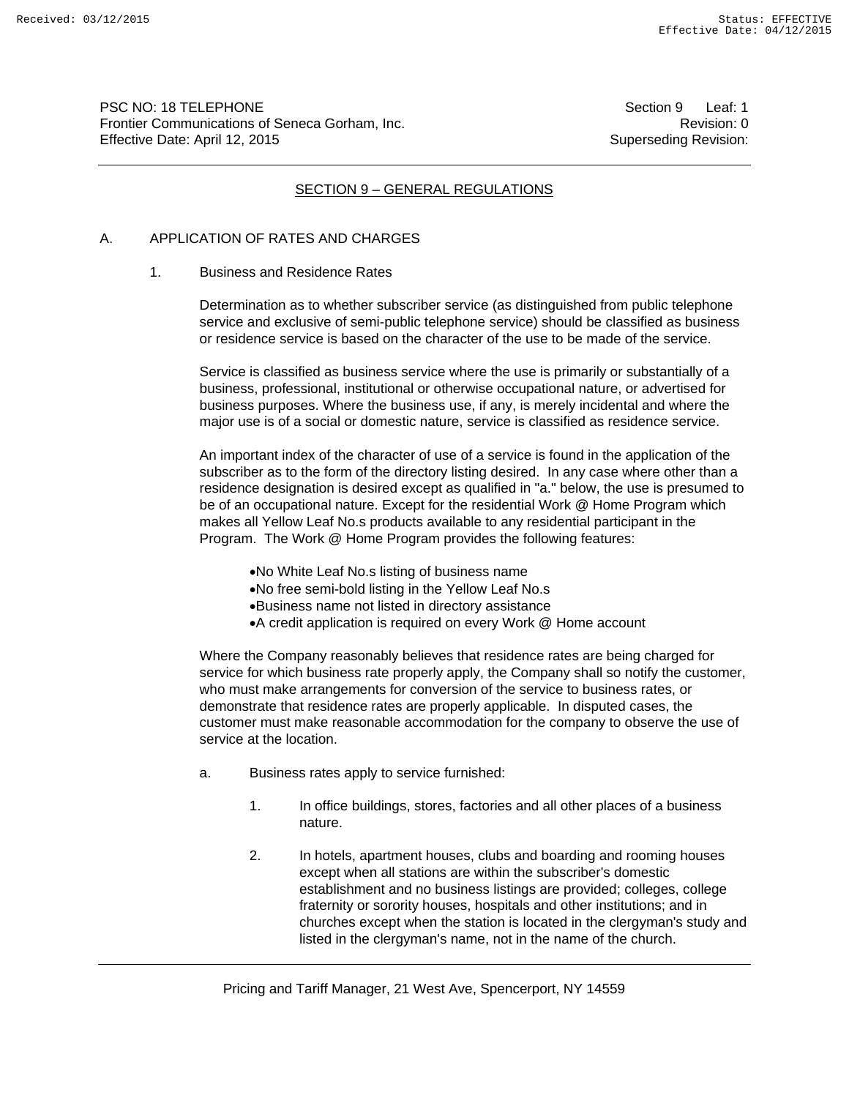PSC NO: 18 TELEPHONE Section 9 Leaf: 1 Frontier Communications of Seneca Gorham, Inc. **Revision: 0** Revision: 0 Effective Date: April 12, 2015 Superseding Revision:

# SECTION 9 – GENERAL REGULATIONS

#### A. APPLICATION OF RATES AND CHARGES

#### 1. Business and Residence Rates

 Determination as to whether subscriber service (as distinguished from public telephone service and exclusive of semi-public telephone service) should be classified as business or residence service is based on the character of the use to be made of the service.

 Service is classified as business service where the use is primarily or substantially of a business, professional, institutional or otherwise occupational nature, or advertised for business purposes. Where the business use, if any, is merely incidental and where the major use is of a social or domestic nature, service is classified as residence service.

 An important index of the character of use of a service is found in the application of the subscriber as to the form of the directory listing desired. In any case where other than a residence designation is desired except as qualified in "a." below, the use is presumed to be of an occupational nature. Except for the residential Work @ Home Program which makes all Yellow Leaf No.s products available to any residential participant in the Program. The Work @ Home Program provides the following features:

- No White Leaf No.s listing of business name
- No free semi-bold listing in the Yellow Leaf No.s
- Business name not listed in directory assistance
- A credit application is required on every Work @ Home account

 Where the Company reasonably believes that residence rates are being charged for service for which business rate properly apply, the Company shall so notify the customer, who must make arrangements for conversion of the service to business rates, or demonstrate that residence rates are properly applicable. In disputed cases, the customer must make reasonable accommodation for the company to observe the use of service at the location.

- a. Business rates apply to service furnished:
	- 1. In office buildings, stores, factories and all other places of a business nature.
	- 2. In hotels, apartment houses, clubs and boarding and rooming houses except when all stations are within the subscriber's domestic establishment and no business listings are provided; colleges, college fraternity or sorority houses, hospitals and other institutions; and in churches except when the station is located in the clergyman's study and listed in the clergyman's name, not in the name of the church.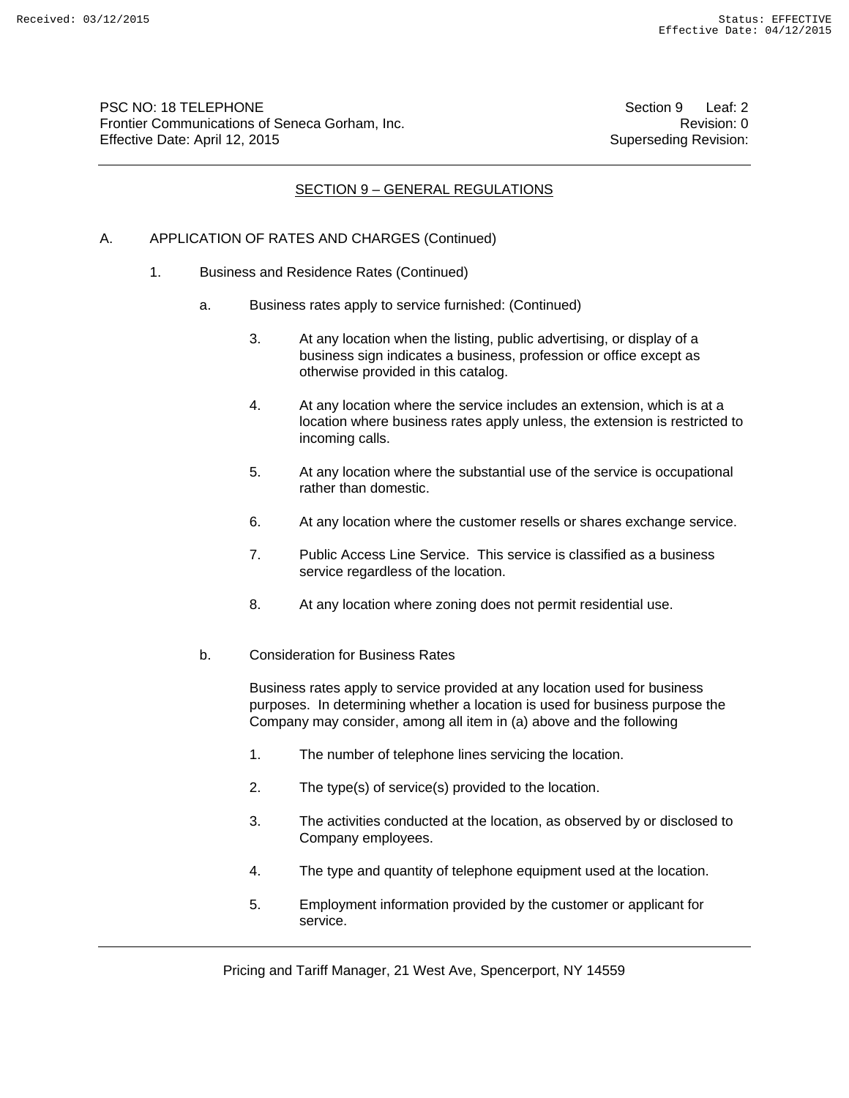PSC NO: 18 TELEPHONE Section 9 Leaf: 2 Frontier Communications of Seneca Gorham, Inc. **Revision: 0** Revision: 0 Effective Date: April 12, 2015 Superseding Revision:

# SECTION 9 – GENERAL REGULATIONS

#### A. APPLICATION OF RATES AND CHARGES (Continued)

- 1. Business and Residence Rates (Continued)
	- a. Business rates apply to service furnished: (Continued)
		- 3. At any location when the listing, public advertising, or display of a business sign indicates a business, profession or office except as otherwise provided in this catalog.
		- 4. At any location where the service includes an extension, which is at a location where business rates apply unless, the extension is restricted to incoming calls.
		- 5. At any location where the substantial use of the service is occupational rather than domestic.
		- 6. At any location where the customer resells or shares exchange service.
		- 7. Public Access Line Service. This service is classified as a business service regardless of the location.
		- 8. At any location where zoning does not permit residential use.
	- b. Consideration for Business Rates

Business rates apply to service provided at any location used for business purposes. In determining whether a location is used for business purpose the Company may consider, among all item in (a) above and the following

- 1. The number of telephone lines servicing the location.
- 2. The type(s) of service(s) provided to the location.
- 3. The activities conducted at the location, as observed by or disclosed to Company employees.
- 4. The type and quantity of telephone equipment used at the location.
- 5. Employment information provided by the customer or applicant for service.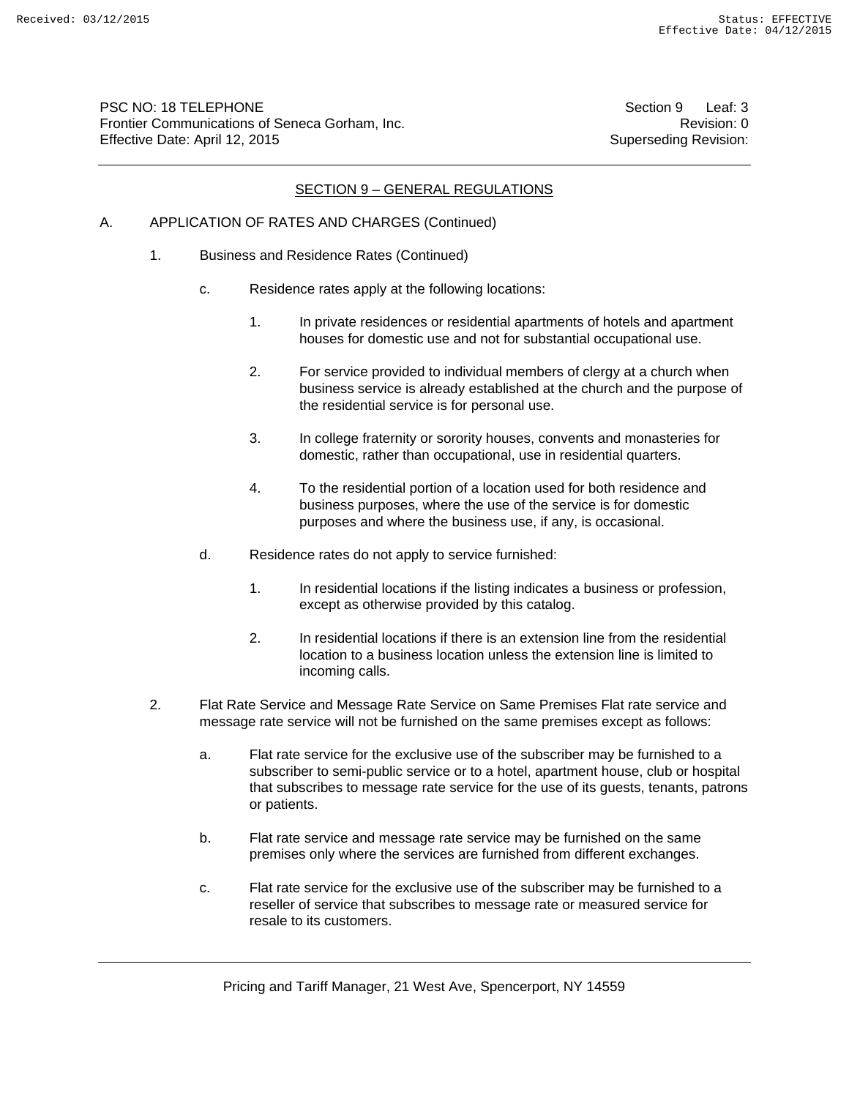PSC NO: 18 TELEPHONE Section 9 Leaf: 3 Frontier Communications of Seneca Gorham, Inc. **Revision: 0** Revision: 0 Effective Date: April 12, 2015 Superseding Revision:

#### SECTION 9 – GENERAL REGULATIONS

# A. APPLICATION OF RATES AND CHARGES (Continued)

- 1. Business and Residence Rates (Continued)
	- c. Residence rates apply at the following locations:
		- 1. In private residences or residential apartments of hotels and apartment houses for domestic use and not for substantial occupational use.
		- 2. For service provided to individual members of clergy at a church when business service is already established at the church and the purpose of the residential service is for personal use.
		- 3. In college fraternity or sorority houses, convents and monasteries for domestic, rather than occupational, use in residential quarters.
		- 4. To the residential portion of a location used for both residence and business purposes, where the use of the service is for domestic purposes and where the business use, if any, is occasional.
	- d. Residence rates do not apply to service furnished:
		- 1. In residential locations if the listing indicates a business or profession, except as otherwise provided by this catalog.
		- 2. In residential locations if there is an extension line from the residential location to a business location unless the extension line is limited to incoming calls.
- 2. Flat Rate Service and Message Rate Service on Same Premises Flat rate service and message rate service will not be furnished on the same premises except as follows:
	- a. Flat rate service for the exclusive use of the subscriber may be furnished to a subscriber to semi-public service or to a hotel, apartment house, club or hospital that subscribes to message rate service for the use of its guests, tenants, patrons or patients.
	- b. Flat rate service and message rate service may be furnished on the same premises only where the services are furnished from different exchanges.
	- c. Flat rate service for the exclusive use of the subscriber may be furnished to a reseller of service that subscribes to message rate or measured service for resale to its customers.